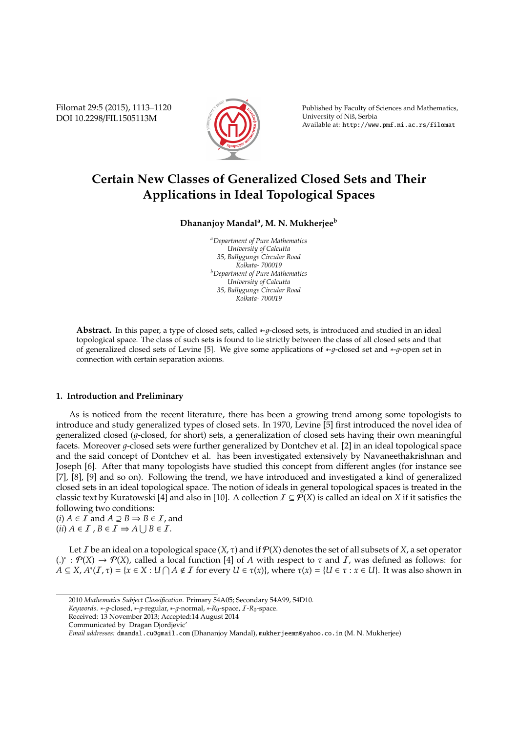Filomat 29:5 (2015), 1113–1120 DOI 10.2298/FIL1505113M



Published by Faculty of Sciences and Mathematics, University of Niš, Serbia Available at: http://www.pmf.ni.ac.rs/filomat

# **Certain New Classes of Generalized Closed Sets and Their Applications in Ideal Topological Spaces**

## **Dhananjoy Mandal<sup>a</sup> , M. N. Mukherjee<sup>b</sup>**

*<sup>a</sup>Department of Pure Mathematics University of Calcutta 35, Ballygunge Circular Road Kolkata- 700019 <sup>b</sup>Department of Pure Mathematics University of Calcutta 35, Ballygunge Circular Road Kolkata- 700019*

**Abstract.** In this paper, a type of closed sets, called ∗-q-closed sets, is introduced and studied in an ideal topological space. The class of such sets is found to lie strictly between the class of all closed sets and that of generalized closed sets of Levine [5]. We give some applications of ∗-1-closed set and ∗-1-open set in connection with certain separation axioms.

#### **1. Introduction and Preliminary**

As is noticed from the recent literature, there has been a growing trend among some topologists to introduce and study generalized types of closed sets. In 1970, Levine [5] first introduced the novel idea of generalized closed ( $q$ -closed, for short) sets, a generalization of closed sets having their own meaningful facets. Moreover  $q$ -closed sets were further generalized by Dontchev et al. [2] in an ideal topological space and the said concept of Dontchev et al. has been investigated extensively by Navaneethakrishnan and Joseph [6]. After that many topologists have studied this concept from different angles (for instance see [7], [8], [9] and so on). Following the trend, we have introduced and investigated a kind of generalized closed sets in an ideal topological space. The notion of ideals in general topological spaces is treated in the classic text by Kuratowski [4] and also in [10]. A collection  $\mathcal{I} \subseteq \mathcal{P}(X)$  is called an ideal on *X* if it satisfies the following two conditions:

 $(i)$  *A*  $\in$  *I* and *A*  $\supseteq$  *B*  $\Rightarrow$  *B*  $\in$  *I*, and  $(ii)$   $A \in I$ ,  $B \in I \Rightarrow A \cup B \in I$ .

Let *I* be an ideal on a topological space  $(X, \tau)$  and if  $P(X)$  denotes the set of all subsets of *X*, a set operator  $(.)^*$  :  $P(X)$  →  $P(X)$ , called a local function [4] of *A* with respect to *τ* and *I*, was defined as follows: for  $A \subseteq X$ ,  $A^*(I, \tau) = \{x \in X : U \cap A \notin I \text{ for every } U \in \tau(x)\}$ , where  $\tau(x) = \{U \in \tau : x \in U\}$ . It was also shown in

<sup>2010</sup> *Mathematics Subject Classification*. Primary 54A05; Secondary 54A99, 54D10.

*Keywords*. ∗-1-closed, ∗-1-regular, ∗-1-normal, ∗-*R*0-space, I-*R*0-space.

Received: 13 November 2013; Accepted:14 August 2014

Communicated by Dragan Djordjevic'

*Email addresses:* dmandal.cu@gmail.com (Dhananjoy Mandal), mukherjeemn@yahoo.co.in (M. N. Mukherjee)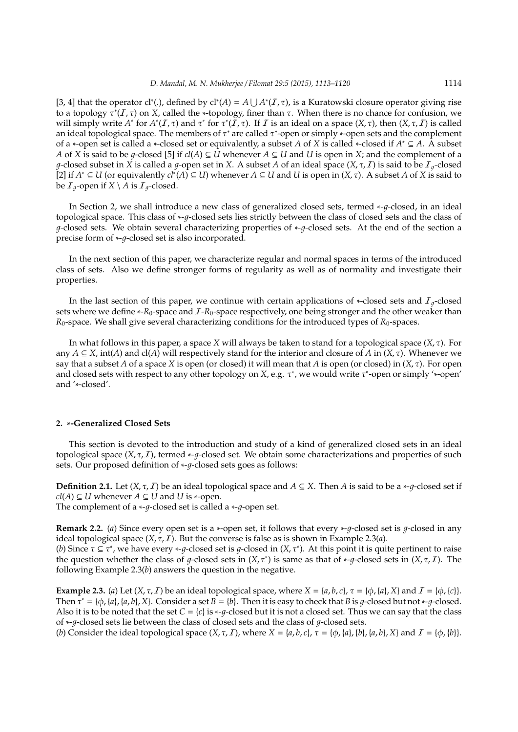[3, 4] that the operator cl<sup>\*</sup>(.), defined by cl<sup>\*</sup>(A) =  $A \cup A^*(I, \tau)$ , is a Kuratowski closure operator giving rise to a topology τ ∗ (I, τ) on *X*, called the ∗-topology, finer than τ. When there is no chance for confusion, we will simply write  $A^*$  for  $A^*(I, \tau)$  and  $\tau^*$  for  $\tau^*(I, \tau)$ . If I is an ideal on a space  $(X, \tau)$ , then  $(X, \tau, I)$  is called an ideal topological space. The members of  $\tau^*$  are called  $\tau^*$ -open or simply ∗-open sets and the complement of a ∗-open set is called a ∗-closed set or equivalently, a subset *A* of *X* is called ∗-closed if *A* <sup>∗</sup> ⊆ *A*. A subset *A* of *X* is said to be *g*-closed [5] if  $cl(A) \subseteq U$  whenever  $A \subseteq U$  and  $U$  is open in *X*; and the complement of a  $g$ -closed subset in *X* is called a  $g$ -open set in *X*. A subset *A* of an ideal space  $(X, \tau, I)$  is said to be  $I_g$ -closed [2] if *A* <sup>∗</sup> ⊆ *U* (or equivalently *cl*<sup>∗</sup> (*A*) ⊆ *U*) whenever *A* ⊆ *U* and *U* is open in (*X*, τ). A subset *A* of *X* is said to be  $\mathcal{I}_q$ -open if  $X \setminus \overline{A}$  is  $\mathcal{I}_q$ -closed.

In Section 2, we shall introduce a new class of generalized closed sets, termed ∗-1-closed, in an ideal topological space. This class of ∗-q-closed sets lies strictly between the class of closed sets and the class of q-closed sets. We obtain several characterizing properties of  $*$ -q-closed sets. At the end of the section a precise form of \*-q-closed set is also incorporated.

In the next section of this paper, we characterize regular and normal spaces in terms of the introduced class of sets. Also we define stronger forms of regularity as well as of normality and investigate their properties.

In the last section of this paper, we continue with certain applications of ∗-closed sets and  $I_q$ -closed sets where we define ∗-*R*<sub>0</sub>-space and *I*-*R*<sub>0</sub>-space respectively, one being stronger and the other weaker than  $R_0$ -space. We shall give several characterizing conditions for the introduced types of  $R_0$ -spaces.

In what follows in this paper, a space *X* will always be taken to stand for a topological space (*X*, τ). For any  $A \subseteq X$ , int(*A*) and cl(*A*) will respectively stand for the interior and closure of *A* in (*X*,  $\tau$ ). Whenever we say that a subset *A* of a space *X* is open (or closed) it will mean that *A* is open (or closed) in (*X*, τ). For open and closed sets with respect to any other topology on *X*, e.g. τ<sup>\*</sup>, we would write τ<sup>\*</sup>-open or simply '∗-open' and '∗-closed'.

#### **2.** ∗**-Generalized Closed Sets**

This section is devoted to the introduction and study of a kind of generalized closed sets in an ideal topological space  $(X, \tau, I)$ , termed  $\ast$ -q-closed set. We obtain some characterizations and properties of such sets. Our proposed definition of \*-q-closed sets goes as follows:

**Definition 2.1.** Let  $(X, \tau, I)$  be an ideal topological space and  $A \subseteq X$ . Then *A* is said to be a ∗-q-closed set if *cl*(*A*) ⊆ *U* whenever *A* ⊆ *U* and *U* is ∗-open.

The complement of a  $\n * -q$ -closed set is called a  $\n * -q$ -open set.

following Example 2.3(*b*) answers the question in the negative.

**Remark 2.2.** (*a*) Since every open set is a ∗-open set, it follows that every  $\ast$ -*q*-closed set is *q*-closed in any ideal topological space  $(X, \tau, I)$ . But the converse is false as is shown in Example 2.3(*a*). (*b*) Since  $\tau \subseteq \tau^*$ , we have every \*-g-closed set is g-closed in  $(X, \tau^*)$ . At this point it is quite pertinent to raise the question whether the class of g-closed sets in  $(X, \tau^*)$  is same as that of \*-g-closed sets in  $(X, \tau, I)$ . The

**Example 2.3.** (*a*) Let  $(X, \tau, I)$  be an ideal topological space, where  $X = \{a, b, c\}$ ,  $\tau = \{\phi, \{a\}, X\}$  and  $I = \{\phi, \{c\}\}$ . Then  $\tau^* = \{\phi, \{a\}, \{a, b\}, X\}$ . Consider a set  $B = \{b\}$ . Then it is easy to check that *B* is *g*-closed but not \*-*g*-closed. Also it is to be noted that the set  $C = \{c\}$  is  $\ast$ -*q*-closed but it is not a closed set. Thus we can say that the class of \*-q-closed sets lie between the class of closed sets and the class of q-closed sets.

(*b*) Consider the ideal topological space  $(X, \tau, I)$ , where  $X = \{a, b, c\}$ ,  $\tau = \{\phi, \{a\}, \{b\}, \{a, b\}, X\}$  and  $I = \{\phi, \{b\}\}$ .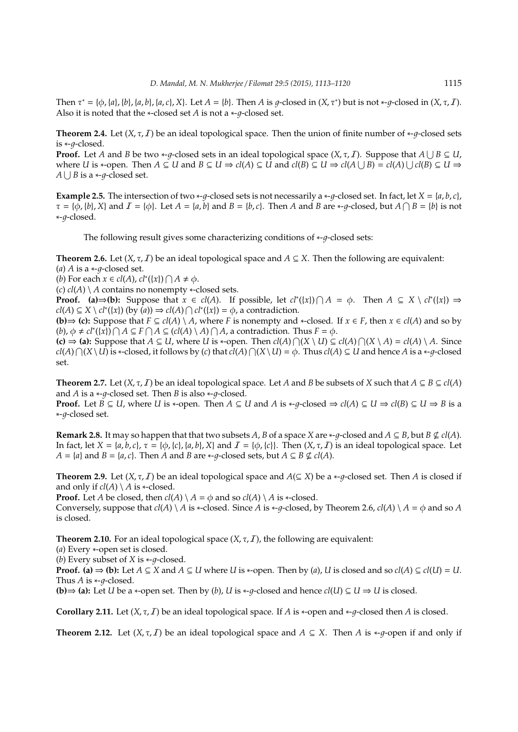Then  $\tau^* = \{\phi, \{a\}, \{b\}, \{a, b\}, \{a, c\}, X\}$ . Let  $A = \{b\}$ . Then  $A$  is  $g$ -closed in  $(X, \tau^*)$  but is not \*-g-closed in  $(X, \tau, I)$ . Also it is noted that the  $*$ -closed set *A* is not a  $*$ - $q$ -closed set.

**Theorem 2.4.** Let  $(X, \tau, I)$  be an ideal topological space. Then the union of finite number of  $*$ -q-closed sets is ∗-*a*-closed.

**Proof.** Let *A* and *B* be two \*-*g*-closed sets in an ideal topological space  $(X, \tau, I)$ . Suppose that  $A \cup B \subseteq U$ , where U is \*-open. Then  $A \subseteq U$  and  $B \subseteq U \Rightarrow cl(A) \subseteq U$  and  $cl(B) \subseteq U \Rightarrow cl(A \cup B) = cl(A) \cup cl(B) \subseteq U \Rightarrow$ *A* ∪ *B* is a  $\ast$ -*g*-closed set.

**Example 2.5.** The intersection of two ∗-q-closed sets is not necessarily a ∗-q-closed set. In fact, let *X* = {*a*, *b*, *c*},  $\tau = {\phi, {b}, X}$  and  $I = {\phi}.$  Let  $A = {a, b}$  and  $B = {b, c}.$  Then  $A$  and  $B$  are \*-g-closed, but  $A \cap B = {b}$  is not ∗-1-closed.

The following result gives some characterizing conditions of ∗-q-closed sets:

**Theorem 2.6.** Let  $(X, \tau, I)$  be an ideal topological space and  $A \subseteq X$ . Then the following are equivalent:  $(a)$  *A* is a  $\nu$ -g-closed set.

(*b*) For each  $x \in cl(A)$ ,  $cl^*(\{x\}) \cap A \neq \emptyset$ .

(*c*) *cl*(*A*) \ *A* contains no nonempty ∗-closed sets.

**Proof.** (a)  $\Rightarrow$  (b): Suppose that  $x \in cl(A)$ . If possible, let  $cl^*(\{x\}) \cap A = \phi$ . Then  $A \subseteq X \setminus cl^*(\{x\}) \Rightarrow$  $cl(A) \subseteq X \setminus cl^*(\{x\})$  (by  $(a)$ )  $\Rightarrow cl(A) \cap cl^*(\{x\}) = \phi$ , a contradiction.

**(b)**  $\Rightarrow$  **(c):** Suppose that *F* ⊆ *cl*(*A*) \ *A*, where *F* is nonempty and \*-closed. If *x* ∈ *F*, then *x* ∈ *cl*(*A*) and so by  $(b)$ ,  $\phi \neq cl^*(\{x\}) \cap A \subseteq F \cap A \subseteq (cl(A) \setminus A) \cap A$ , a contradiction. Thus  $F = \phi$ .

**(c)**  $\Rightarrow$  **(a):** Suppose that *A* ⊆ *U*, where *U* is \*-open. Then  $cl(A) ∩(X ∖ U) ⊆ cl(A) ∩(X ∖ A) = cl(A) ∖ A$ . Since  $cl(A) \cap (X \setminus U)$  is \*-closed, it follows by (*c*) that  $cl(A) \cap (X \setminus U) = \phi$ . Thus  $cl(A) \subseteq U$  and hence *A* is a \*-*g*-closed set.

**Theorem 2.7.** Let  $(X, \tau, I)$  be an ideal topological space. Let *A* and *B* be subsets of *X* such that  $A \subseteq B \subseteq cl(A)$ and *A* is a  $*$ -*g*-closed set. Then *B* is also  $*$ -*g*-closed.

**Proof.** Let *B* ⊆ *U*, where *U* is ∗-open. Then *A* ⊆ *U* and *A* is \*-*g*-closed  $\Rightarrow$  *cl*(*A*) ⊆ *U*  $\Rightarrow$  *cl*(*B*) ⊆ *U*  $\Rightarrow$  *B* is a ∗-1-closed set.

**Remark 2.8.** It may so happen that that two subsets *A*, *B* of a space *X* are  $*$ -*q*-closed and *A*  $\subseteq$  *B*, but *B*  $\nsubseteq$  *cl*(*A*). In fact, let  $X = \{a, b, c\}$ ,  $\tau = \{\phi, \{c\}, \{a, b\}, X\}$  and  $\mathcal{I} = \{\phi, \{c\}\}\$ . Then  $(X, \tau, \mathcal{I})$  is an ideal topological space. Let *A* = {*a*} and *B* = {*a*, *c*}. Then *A* and *B* are ∗-*q*-closed sets, but *A* ⊆ *B* ⊈ *cl*(*A*).

**Theorem 2.9.** Let  $(X, \tau, I)$  be an ideal topological space and  $A \subseteq X$ ) be a  $\ast$ -g-closed set. Then *A* is closed if and only if  $cl(A) \setminus A$  is  $\ast$ -closed.

**Proof.** Let *A* be closed, then  $cl(A) \setminus A = \phi$  and so  $cl(A) \setminus A$  is ∗-closed.

Conversely, suppose that  $cl(A) \setminus A$  is  $\ast$ -closed. Since *A* is  $\ast$ -*q*-closed, by Theorem 2.6,  $cl(A) \setminus A = \phi$  and so *A* is closed.

**Theorem 2.10.** For an ideal topological space  $(X, \tau, I)$ , the following are equivalent:

(*a*) Every ∗-open set is closed.

(*b*) Every subset of *X* is  $\ast$ -*q*-closed.

**Proof.** (a)  $\Rightarrow$  (b): Let  $A \subseteq X$  and  $A \subseteq U$  where *U* is \*-open. Then by (*a*), *U* is closed and so *cl*(*A*)  $\subseteq$  *cl*(*U*) = *U*. Thus  $A$  is  $\ast$ - $q$ -closed.

**(b)**  $\Rightarrow$  **(a):** Let *U* be a ∗-open set. Then by (*b*), *U* is ∗-*q*-closed and hence *cl*(*U*) ⊆ *U*  $\Rightarrow$  *U* is closed.

**Corollary 2.11.** Let  $(X, \tau, I)$  be an ideal topological space. If *A* is  $*$ -open and  $*$ -*q*-closed then *A* is closed.

**Theorem 2.12.** Let  $(X, \tau, I)$  be an ideal topological space and  $A \subseteq X$ . Then *A* is ∗-*q*-open if and only if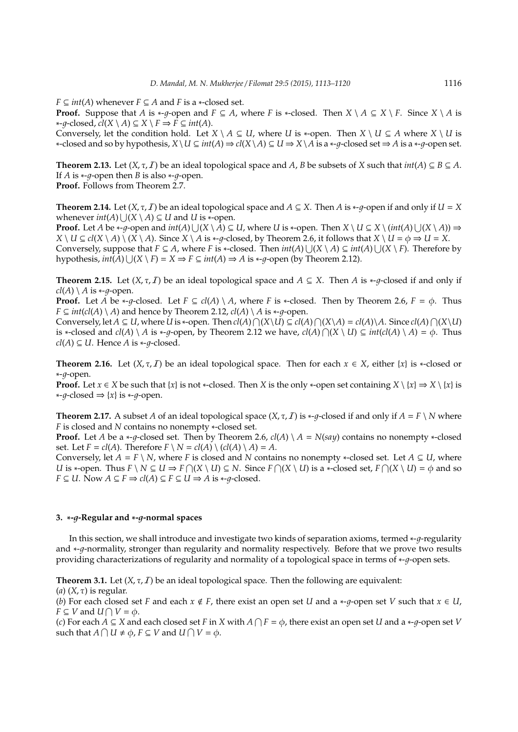*F*  $\subseteq$  *int*(*A*) whenever *F*  $\subseteq$  *A* and *F* is a  $\ast$ -closed set.

**Proof.** Suppose that *A* is  $*$ -*q*-open and *F* ⊆ *A*, where *F* is  $*$ -closed. Then  $X \setminus A \subseteq X \setminus F$ . Since  $X \setminus A$  is  $*$ -*q*-closed,  $cl(X \setminus A) \subseteq X \setminus F$  ⇒  $\overline{F} \subseteq int(A)$ .

Conversely, let the condition hold. Let  $X \setminus A \subseteq U$ , where *U* is ∗-open. Then  $X \setminus U \subseteq A$  where  $X \setminus U$  is *∗*-closed and so by hypothesis,  $X\setminus U \subseteq int(A) \Rightarrow cl(X\setminus A) \subseteq U \Rightarrow X\setminus A$  is a *∗-q*-closed set  $\Rightarrow A$  is a *∗-q*-open set.

**Theorem 2.13.** Let  $(X, \tau, I)$  be an ideal topological space and *A*, *B* be subsets of *X* such that  $int(A) \subseteq B \subseteq A$ . If *A* is  $\ast$ -*q*-open then *B* is also  $\ast$ -*q*-open.

**Proof.** Follows from Theorem 2.7.

**Theorem 2.14.** Let  $(X, \tau, I)$  be an ideal topological space and  $A \subseteq X$ . Then *A* is \*-*q*-open if and only if  $U = X$ whenever  $int(A) \bigcup (X \setminus A) \subseteq U$  and  $U$  is ∗-open.

**Proof.** Let *A* be \*-*g*-open and  $int(A) \bigcup (X \setminus A) \subseteq U$ , where *U* is \*-open. Then  $X \setminus U \subseteq X \setminus (int(A) \bigcup (X \setminus A)) \Rightarrow$  $X \setminus U \subseteq cl(X \setminus A) \setminus (X \setminus A)$ . Since  $X \setminus A$  is \*-q-closed, by Theorem 2.6, it follows that  $X \setminus U = \phi \Rightarrow U = X$ . Conversely, suppose that  $F \subseteq A$ , where *F* is \*-closed. Then  $int(A) \cup (X \setminus A) \subseteq int(A) \cup (X \setminus F)$ . Therefore by hypothesis,  $int(A) \bigcup (X \setminus F) = X \Rightarrow F \subseteq int(A) \Rightarrow A$  is  $\ast$ -*g*-open (by Theorem 2.12).

**Theorem 2.15.** Let  $(X, \tau, I)$  be an ideal topological space and  $A \subseteq X$ . Then *A* is \*-*q*-closed if and only if  $cl(A) \setminus A$  is  $\nightharpoonup q$ -open.

**Proof.** Let *A* be \*-*q*-closed. Let  $F \subseteq cl(A) \setminus A$ , where *F* is \*-closed. Then by Theorem 2.6,  $F = \phi$ . Thus *F*  $\subseteq$  *int*(*cl*(*A*) \ *A*) and hence by Theorem 2.12, *cl*(*A*) \ *A* is \*-*q*-open.

Conversely, let  $A \subseteq U$ , where U is \*-open. Then  $cl(A) \cap (X \setminus U) \subseteq cl(A) \cap (X \setminus A) = cl(A) \setminus A$ . Since  $cl(A) \cap (X \setminus U)$ is ∗-closed and  $cl(A) \setminus A$  is  $\ast$ -g-open, by Theorem 2.12 we have,  $cl(A) \cap (X \setminus U) \subseteq int(cl(A) \setminus A) = \phi$ . Thus  $cl(A) ⊆ U$ . Hence *A* is  $\ast$ -*q*-closed.

**Theorem 2.16.** Let  $(X, \tau, I)$  be an ideal topological space. Then for each  $x \in X$ , either  $\{x\}$  is \*-closed or ∗-1-open.

**Proof.** Let  $x \in X$  be such that  $\{x\}$  is not \*-closed. Then *X* is the only \*-open set containing  $X \setminus \{x\} \Rightarrow X \setminus \{x\}$  is  $\ast$ -*q*-closed ⇒ {*x*} is  $\ast$ -*q*-open.

**Theorem 2.17.** A subset *A* of an ideal topological space  $(X, \tau, I)$  is  $\ast$ -q-closed if and only if  $A = F \setminus N$  where *F* is closed and *N* contains no nonempty ∗-closed set.

**Proof.** Let *A* be a  $\ast$ -q-closed set. Then by Theorem 2.6,  $cl(A) \setminus A = N(say)$  contains no nonempty  $\ast$ -closed set. Let  $F = cl(A)$ . Therefore  $F \setminus N = cl(A) \setminus (cl(A) \setminus A) = A$ .

Conversely, let  $A = F \setminus N$ , where *F* is closed and *N* contains no nonempty ∗-closed set. Let  $A \subseteq U$ , where *U* is \*-open. Thus  $F \setminus N \subseteq U \Rightarrow F \cap (X \setminus U) \subseteq N$ . Since  $F \cap (X \setminus U)$  is a \*-closed set,  $F \cap (X \setminus U) = \phi$  and so *F* ⊆ *U*. Now *A* ⊆ *F*  $\Rightarrow$  *cl*(*A*) ⊆ *F* ⊆ *U*  $\Rightarrow$  *A* is \*-*g*-closed.

#### **3.** ∗**-**1**-Regular and** ∗**-**1**-normal spaces**

In this section, we shall introduce and investigate two kinds of separation axioms, termed ∗-1-regularity and ∗-q-normality, stronger than regularity and normality respectively. Before that we prove two results providing characterizations of regularity and normality of a topological space in terms of ∗-q-open sets.

**Theorem 3.1.** Let  $(X, \tau, I)$  be an ideal topological space. Then the following are equivalent:

(*a*) (*X*, τ) is regular.

(*b*) For each closed set *F* and each  $x \notin F$ , there exist an open set *U* and a  $*$ -*g*-open set *V* such that  $x \in U$ ,  $F \subseteq V$  and  $U \cap V = \phi$ .

(*c*) For each  $A \subseteq X$  and each closed set *F* in *X* with  $A \cap F = \phi$ , there exist an open set *U* and a \*-*g*-open set *V* such that  $A \cap U \neq \phi$ ,  $F \subseteq V$  and  $U \cap V = \phi$ .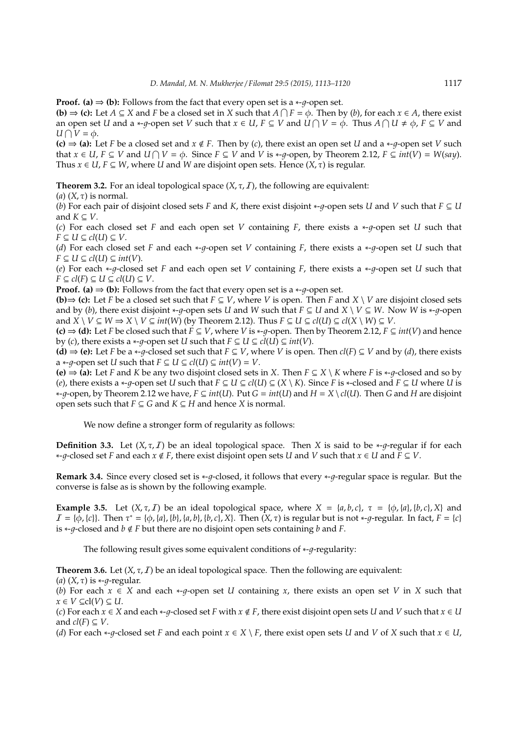**Proof.** (a)  $\Rightarrow$  (b): Follows from the fact that every open set is a  $*$ -*a*-open set.

**(b)**  $\Rightarrow$  **(c):** Let *A* ⊆ *X* and *F* be a closed set in *X* such that *A*  $\cap$  *F* =  $\phi$ . Then by (*b*), for each *x* ∈ *A*, there exist an open set *U* and a \*-g-open set *V* such that  $x \in U$ ,  $F \subseteq V$  and  $\overline{U \cap V} = \phi$ . Thus  $A \cap U \neq \phi$ ,  $F \subseteq V$  and  $U ∩ V = φ.$ 

**(c)**  $\Rightarrow$  **(a)**: Let *F* be a closed set and *x* ∉ *F*. Then by (*c*), there exist an open set *U* and a ∗-*a*-open set *V* such *that*  $x \in U$ ,  $F \subseteq V$  and  $U \cap V = \emptyset$ . Since  $F \subseteq V$  and  $V$  is \*-g-open, by Theorem 2.12,  $F \subseteq int(V) = W(say)$ . Thus  $x \in U$ ,  $F \subseteq W$ , where *U* and *W* are disjoint open sets. Hence  $(X, \tau)$  is regular.

**Theorem 3.2.** For an ideal topological space  $(X, \tau, I)$ , the following are equivalent:

(*a*)  $(X, \tau)$  is normal.

(*b*) For each pair of disjoint closed sets *F* and *K*, there exist disjoint  $*$ - $q$ -open sets *U* and *V* such that  $F \subseteq U$ and  $K \subseteq V$ .

(*c*) For each closed set *F* and each open set *V* containing *F*, there exists a  $*$ -*q*-open set *U* such that *F* ⊆ *U* ⊆ *cl*(*U*) ⊆ *V*.

(*d*) For each closed set *F* and each ∗-*q*-open set *V* containing *F*, there exists a ∗-*q*-open set *U* such that *F* ⊆ *U* ⊆ *cl*(*U*) ⊆ *int*(*V*).

(*e*) For each ∗-q-closed set *F* and each open set *V* containing *F*, there exists a ∗-q-open set *U* such that *F* ⊆  $cl(F)$  ⊆  $U$  ⊆  $cl(U)$  ⊆  $V$ .

**Proof.** (a)  $\Rightarrow$  (b): Follows from the fact that every open set is a  $\ast$ -q-open set.

**(b)** $\Rightarrow$  **(c):** Let *F* be a closed set such that *F* ⊆ *V*, where *V* is open. Then *F* and *X* \ *V* are disjoint closed sets and by (*b*), there exist disjoint \*-q-open sets *U* and *W* such that  $F \subseteq U$  and  $X \setminus V \subseteq W$ . Now *W* is \*-q-open and  $X \setminus V \subseteq W \Rightarrow X \setminus V \subseteq int(W)$  (by Theorem 2.12). Thus  $F \subseteq U \subseteq cl(U) \subseteq cl(X \setminus W) \subseteq V$ .

**(c)**  $\Rightarrow$  **(d):** Let *F* be closed such that *F* ⊆ *V*, where *V* is \*-*q*-open. Then by Theorem 2.12, *F* ⊆ *int*(*V*) and hence by (*c*), there exists a ∗-*q*-open set *U* such that  $F ⊆ U ⊆ cI(U) ⊆ int(V)$ .

**(d)**  $\Rightarrow$  **(e):** Let *F* be a ∗-*g*-closed set such that *F* ⊆ *V*, where *V* is open. Then *cl*(*F*) ⊆ *V* and by (*d*), there exists a  $\ast$ -q-open set *U* such that  $F \subseteq U \subseteq cl(U) \subseteq int(V) = V$ .

**(e)**  $\Rightarrow$  **(a):** Let *F* and *K* be any two disjoint closed sets in *X*. Then *F* ⊆ *X* \ *K* where *F* is \*-*q*-closed and so by (*e*), there exists a  $*$ -*q*-open set *U* such that  $F \subseteq U \subseteq cl(U) \subseteq (X \setminus K)$ . Since *F* is  $*$ -closed and  $F \subseteq U$  where *U* is ∗-1-open, by Theorem 2.12 we have, *F* ⊆ *int*(*U*). Put *G* = *int*(*U*) and *H* = *X* \ *cl*(*U*). Then *G* and *H* are disjoint open sets such that  $F \subseteq G$  and  $K \subseteq H$  and hence *X* is normal.

We now define a stronger form of regularity as follows:

**Definition 3.3.** Let  $(X, \tau, I)$  be an ideal topological space. Then *X* is said to be  $*$ - $\sigma$ -regular if for each ∗-1-closed set *F* and each *x* < *F*, there exist disjoint open sets *U* and *V* such that *x* ∈ *U* and *F* ⊆ *V*.

**Remark 3.4.** Since every closed set is \*-g-closed, it follows that every \*-g-regular space is regular. But the converse is false as is shown by the following example.

**Example 3.5.** Let  $(X, \tau, I)$  be an ideal topological space, where  $X = \{a, b, c\}$ ,  $\tau = \{\phi, \{a\}, \{b, c\}, X\}$  and  $I = \{\phi, \{c\}\}\$ . Then  $\tau^* = \{\phi, \{a\}, \{b\}, \{a, b\}, \{b, c\}, X\}$ . Then  $(X, \tau)$  is regular but is not \*-*g*-regular. In fact,  $F = \{c\}$ is  $*$ -*q*-closed and *b*  $\notin$  *F* but there are no disjoint open sets containing *b* and *F*.

The following result gives some equivalent conditions of  $*$ - $q$ -regularity:

**Theorem 3.6.** Let  $(X, \tau, I)$  be an ideal topological space. Then the following are equivalent:

(*a*)  $(X, \tau)$  is  $\nightharpoonup \neg \tau$ -regular.

(*b*) For each  $x \in X$  and each  $\ni$ -q-open set *U* containing *x*, there exists an open set *V* in *X* such that  $x \in V ⊆ \text{cl}(V) ⊆ U.$ 

(*c*) For each  $x \in X$  and each  $*$ -q-closed set *F* with  $x \notin F$ , there exist disjoint open sets *U* and *V* such that  $x \in U$ and  $cl(F) \subseteq V$ .

(*d*) For each  $*$ -*q*-closed set *F* and each point  $x \in X \setminus F$ , there exist open sets *U* and *V* of *X* such that  $x \in U$ ,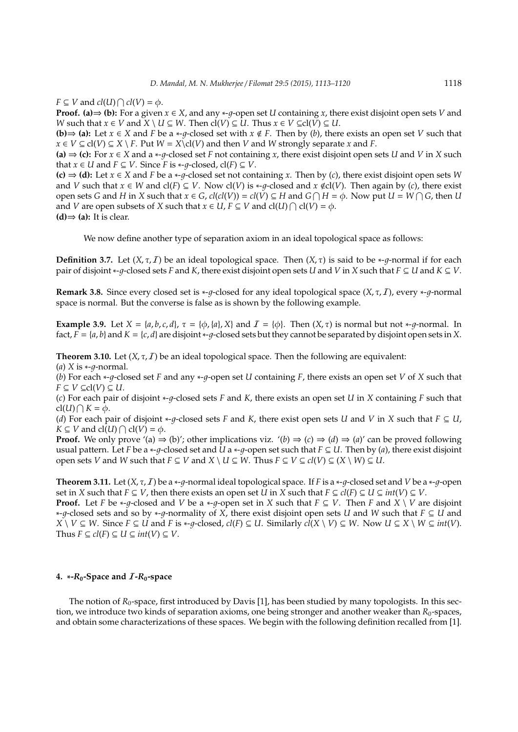*F*  $\subseteq$  *V* and *cl*(*U*)  $\bigcap$  *cl*(*V*) =  $\phi$ .

**Proof.** (a)  $\Rightarrow$  (b): For a given  $x \in X$ , and any  $\ni$ -q-open set *U* containing *x*, there exist disjoint open sets *V* and *W* such that  $x \in V$  and  $\overline{X} \setminus U \subseteq W$ . Then  $cl(V) \subseteq U$ . Thus  $x \in V \subseteq cl(V) \subseteq U$ .

**(b)**⇒ **(a):** Let  $x \in X$  and  $F$  be a  $*$ -q-closed set with  $x \notin F$ . Then by (b), there exists an open set *V* such that *x* ∈ *V* ⊆ cl(*V*) ⊆ *X* \ *F*. Put *W* = *X*\cl(*V*) and then *V* and *W* strongly separate *x* and *F*.

**(a)**  $\Rightarrow$  **(c):** For *x* ∈ *X* and a \*-*g*-closed set *F* not containing *x*, there exist disjoint open sets *U* and *V* in *X* such that *x* ∈ *U* and *F* ⊆ *V*. Since *F* is \*-*q*-closed, cl(*F*) ⊆ *V*.

**(c)**  $\Rightarrow$  **(d)**: Let  $x \in X$  and *F* be a \*-q-closed set not containing *x*. Then by (*c*), there exist disjoint open sets *W* and *V* such that  $x \in W$  and  $cl(F) \subseteq V$ . Now  $cl(V)$  is \*-q-closed and  $x \notin cl(V)$ . Then again by (*c*), there exist open sets *G* and *H* in *X* such that  $x \in G$ ,  $cl(cl(V)) = cl(V) \subseteq H$  and  $G \cap H = \phi$ . Now put  $U = W \cap G$ , then *U* and *V* are open subsets of *X* such that  $x \in U$ ,  $F \subseteq V$  and  $cl(U) \cap cl(V) = \phi$ .  $(d)$   $\Rightarrow$   $(a)$ : It is clear.

We now define another type of separation axiom in an ideal topological space as follows:

**Definition 3.7.** Let  $(X, \tau, I)$  be an ideal topological space. Then  $(X, \tau)$  is said to be  $*$ -q-normal if for each pair of disjoint  $*$ -*q*-closed sets *F* and *K*, there exist disjoint open sets *U* and *V* in *X* such that  $F \subseteq U$  and  $K \subseteq V$ .

**Remark 3.8.** Since every closed set is \*-q-closed for any ideal topological space  $(X, \tau, I)$ , every \*-q-normal space is normal. But the converse is false as is shown by the following example.

**Example 3.9.** Let  $X = \{a, b, c, d\}$ ,  $\tau = \{\phi, \{a\}, X\}$  and  $\mathcal{I} = \{\phi\}$ . Then  $(X, \tau)$  is normal but not  $\ast$ -*q*-normal. In fact,  $F = \{a, b\}$  and  $K = \{c, d\}$  are disjoint  $\nu$ -g-closed sets but they cannot be separated by disjoint open sets in *X*.

**Theorem 3.10.** Let  $(X, \tau, I)$  be an ideal topological space. Then the following are equivalent:

 $(a)$  *X* is  $\nu$ -q-normal.

(*b*) For each ∗-1-closed set *F* and any ∗-1-open set *U* containing *F*, there exists an open set *V* of *X* such that *F* ⊆ *V* ⊆ *c*l(*V*) ⊆ *U*.

(*c*) For each pair of disjoint ∗-1-closed sets *F* and *K*, there exists an open set *U* in *X* containing *F* such that  $cl(U) \bigcap K = \phi.$ 

(*d*) For each pair of disjoint \*-q-closed sets F and K, there exist open sets U and V in X such that  $F \subseteq U$ ,  $K \subseteq V$  and  $cl(U) \cap cl(V) = \phi$ .

**Proof.** We only prove '(a)  $\Rightarrow$  (b)'; other implications viz. '(b)  $\Rightarrow$  (c)  $\Rightarrow$  (d)  $\Rightarrow$  (a)' can be proved following usual pattern. Let *F* be a  $*$ -*q*-closed set and *U* a  $*$ -*q*-open set such that *F*  $\subseteq$  *U*. Then by (*a*), there exist disjoint open sets *V* and *W* such that  $F \subseteq V$  and  $X \setminus U \subseteq W$ . Thus  $F \subseteq V \subseteq cl(V) \subseteq (X \setminus W) \subseteq U$ .

**Theorem 3.11.** Let  $(X, \tau, I)$  be a  $*$ -q-normal ideal topological space. If *F* is a  $*$ -q-closed set and *V* be a  $*$ -q-open set in *X* such that  $F \subseteq V$ , then there exists an open set *U* in *X* such that  $F \subseteq cl(F) \subseteq U \subseteq int(V) \subseteq V$ . **Proof.** Let *F* be \*-*g*-closed and *V* be a \*-*g*-open set in *X* such that  $F \subseteq V$ . Then *F* and *X* \ *V* are disjoint ∗-1-closed sets and so by ∗-1-normality of *X*, there exist disjoint open sets *U* and *W* such that *F* ⊆ *U* and  $X \setminus V \subseteq W$ . Since  $F \subseteq U$  and F is \*-q-closed,  $cl(F) \subseteq U$ . Similarly  $cl(X \setminus V) \subseteq W$ . Now  $U \subseteq X \setminus W \subseteq int(V)$ .

### **4.**  $*$ **-***R***<sub>0</sub><b>-Space** and  $I$ **-***R***<sub>0</sub><b>-space**

Thus  $F \subseteq cl(F) \subseteq U \subseteq int(V) \subseteq V$ .

The notion of  $R_0$ -space, first introduced by Davis [1], has been studied by many topologists. In this section, we introduce two kinds of separation axioms, one being stronger and another weaker than  $R_0$ -spaces, and obtain some characterizations of these spaces. We begin with the following definition recalled from [1].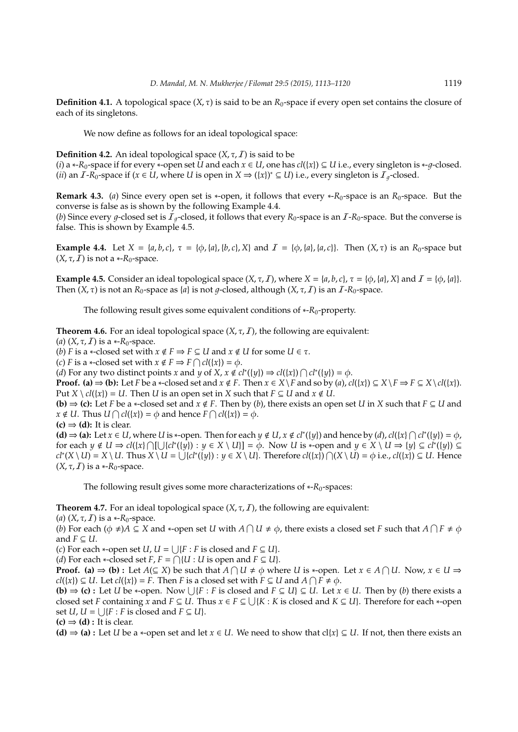**Definition 4.1.** A topological space  $(X, \tau)$  is said to be an  $R_0$ -space if every open set contains the closure of each of its singletons.

We now define as follows for an ideal topological space:

**Definition 4.2.** An ideal topological space  $(X, \tau, I)$  is said to be

(*i*) a \*- $R_0$ -space if for every \*-open set *U* and each  $x \in U$ , one has  $cl({x}) \subseteq U$  i.e., every singleton is \*- $g$ -closed. (*ii*) an  $I$ - $R_0$ -space if ( $x \in U$ , where  $U$  is open in  $X \Rightarrow (\{x\})^* \subseteq U$ ) i.e., every singleton is  $\mathcal{I}_{g}$ -closed.

**Remark 4.3.** (*a*) Since every open set is ∗-open, it follows that every ∗-*R*0-space is an *R*0-space. But the converse is false as is shown by the following Example 4.4.

(*b*) Since every q-closed set is  $I_q$ -closed, it follows that every  $R_0$ -space is an  $I$ - $R_0$ -space. But the converse is false. This is shown by Example 4.5.

**Example 4.4.** Let  $X = \{a, b, c\}$ ,  $\tau = \{\phi, \{a\}, \{b, c\}, X\}$  and  $\mathcal{I} = \{\phi, \{a\}, \{a, c\}\}\$ . Then  $(X, \tau)$  is an  $R_0$ -space but  $(X, \tau, I)$  is not a  $\n *-R_0$ -space.

**Example 4.5.** Consider an ideal topological space  $(X, \tau, I)$ , where  $X = \{a, b, c\}$ ,  $\tau = \{\phi, \{a\}, X\}$  and  $I = \{\phi, \{a\}\}$ . Then  $(X, \tau)$  is not an  $R_0$ -space as  $\{a\}$  is not *g*-closed, although  $(X, \tau, I)$  is an  $I-R_0$ -space.

The following result gives some equivalent conditions of ∗-*R*<sub>0</sub>-property.

**Theorem 4.6.** For an ideal topological space  $(X, \tau, I)$ , the following are equivalent:

(*a*)  $(X, \tau, I)$  is a  $\ast$ - $R_0$ -space.

(*b*) *F* is a \*-closed set with  $x \notin F \Rightarrow F \subseteq U$  and  $x \notin U$  for some  $U \in \tau$ .

(*c*) *F* is a \*-closed set with  $x \notin F \Rightarrow F \cap cl({x}) = \phi$ .

(*d*) For any two distinct points *x* and *y* of *X*,  $x \notin cl^*(\{y\}) \Rightarrow cl(\{x\}) \cap cl^*(\{y\}) = \phi$ .

**Proof.** (a)  $\Rightarrow$  (b): Let *F* be a \*-closed set and  $x \notin F$ . Then  $x \in X \setminus F$  and so by (a),  $cl(\lbrace x \rbrace) \subseteq X \setminus F \Rightarrow F \subseteq X \setminus cl(\lbrace x \rbrace)$ . Put *X* \  $cl({x}) = U$ . Then *U* is an open set in *X* such that  $F \subseteq U$  and  $x \notin U$ .

**(b)**  $\Rightarrow$  **(c):** Let *F* be a  $\ast$ -closed set and  $x \notin F$ . Then by (*b*), there exists an open set *U* in *X* such that  $F \subseteq U$  and  $x \notin U$ . Thus  $U \cap cl({x}) = \phi$  and hence  $F \cap cl({x}) = \phi$ .

 $(c) \Rightarrow (d)$ : It is clear.

**(d)**  $\Rightarrow$  **(a):** Let *x* ∈ *U*, where *U* is ∗-open. Then for each *y* ∉ *U*, *x* ∉ *cl*<sup>∗</sup>({*y*}) and hence by (*d*), *cl*({*x*}  $\cap$  *cl*<sup>∗</sup>({*y*}) =  $\phi$ ,  $f \circ \mathbf{r}$  each  $y \notin U \Rightarrow cl(\{x\} \cap [\bigcup \{cl^*(\{y\}) : y \in X \setminus U\}] = \phi$ . Now *U* is  $\ast$ -open and  $y \in X \setminus U \Rightarrow \{y\} \subseteq cl^*(\{y\}) \subseteq$  $cl^*(X \setminus U) = X \setminus U$ . Thus  $X \setminus U = \bigcup \{ cl^*(y) \}$ :  $y \in X \setminus U$ . Therefore  $cl(\lbrace x \rbrace) \bigcap (X \setminus U) = \phi$  i.e.,  $cl(\lbrace x \rbrace) \subseteq U$ . Hence  $(X, \tau, I)$  is a  $\ast$ - $R_0$ -space.

The following result gives some more characterizations of ∗-*R*0-spaces:

**Theorem 4.7.** For an ideal topological space  $(X, \tau, I)$ , the following are equivalent:

(*a*)  $(X, \tau, I)$  is a  $\ast$ - $R_0$ -space.

(*b*) For each  $(\phi \neq)A \subseteq X$  and \*-open set *U* with  $A \cap U \neq \phi$ , there exists a closed set *F* such that  $A \cap F \neq \phi$ and  $F \subset U$ .

(*c*) For each \*-open set *U*,  $U = \bigcup \{F : F \text{ is closed and } F \subseteq U\}$ .

 $(d)$  For each \*-closed set *F*, *F* = ∩{*U* : *U* is open and *F* ⊆ *U*}.

**Proof.** (a)  $\Rightarrow$  (b) : Let  $A(\subseteq X)$  be such that  $A \cap U \neq \emptyset$  where *U* is \*-open. Let  $x \in A \cap U$ . Now,  $x \in U \Rightarrow$  $cl(\lbrace x \rbrace) \subseteq U$ . Let  $cl(\lbrace x \rbrace) = F$ . Then *F* is a closed set with  $F \subseteq U$  and  $A \cap F \neq \emptyset$ .

**(b)**  $\Rightarrow$  **(c)** : Let *U* be ∗-open. Now  $\bigcup \{F : F \text{ is closed and } F \subseteq U\} \subseteq U$ . Let  $x \in U$ . Then by (*b*) there exists a closed set *F* containing  $\hat{x}$  and  $F \subseteq U$ . Thus  $x \in F \subseteq \bigcup \{K : K$  is closed and  $K \subseteq U\}$ . Therefore for each \*-open set *U*,  $U = \bigcup \{F : F \text{ is closed and } F \subseteq U\}.$ 

 $(c) \Rightarrow (d)$ : It is clear.

**(d)**  $\Rightarrow$  **(a)** : Let *U* be a \*-open set and let  $x \in U$ . We need to show that cl{*x*}  $\subseteq U$ . If not, then there exists an